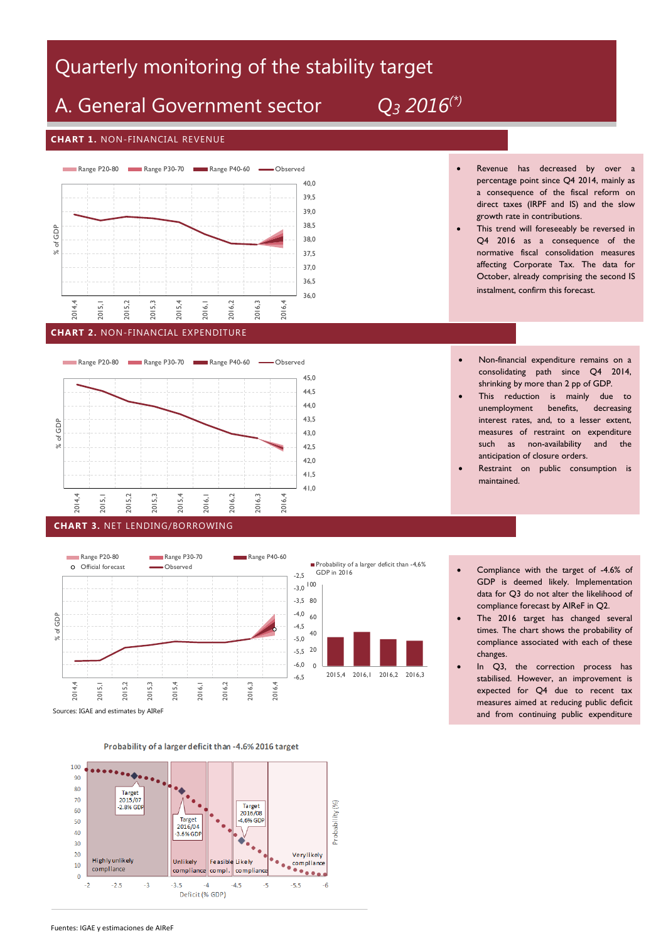# Quarterly monitoring of the stability target and the stability of the state of the state

# A. General Government sector *Q<sup>3</sup> 2016(\*)*

 $5^{(7)}$ 

### **CHART 1.** NON-FINANCIAL REVENUE



#### **CHART 2.** NON-FINANCIAL EXPENDITURE







- Revenue has decreased by over a percentage point since Q4 2014, mainly as a consequence of the fiscal reform on direct taxes (IRPF and IS) and the slow growth rate in contributions.
- This trend will foreseeably be reversed in Q4 2016 as a consequence of the normative fiscal consolidation measures affecting Corporate Tax. The data for October, already comprising the second IS instalment, confirm this forecast.
	- Non-financial expenditure remains on a consolidating path since Q4 2014, shrinking by more than 2 pp of GDP.
- This reduction is mainly due to unemployment benefits, decreasing interest rates, and, to a lesser extent, measures of restraint on expenditure such as non-availability and the anticipation of closure orders.
- Restraint on public consumption is maintained.
- Compliance with the target of -4.6% of GDP is deemed likely. Implementation data for Q3 do not alter the likelihood of compliance forecast by AIReF in Q2.
- The 2016 target has changed several times. The chart shows the probability of compliance associated with each of these changes.
- In Q3, the correction process has stabilised. However, an improvement is expected for Q4 due to recent tax measures aimed at reducing public deficit and from continuing public expenditure

restraint.